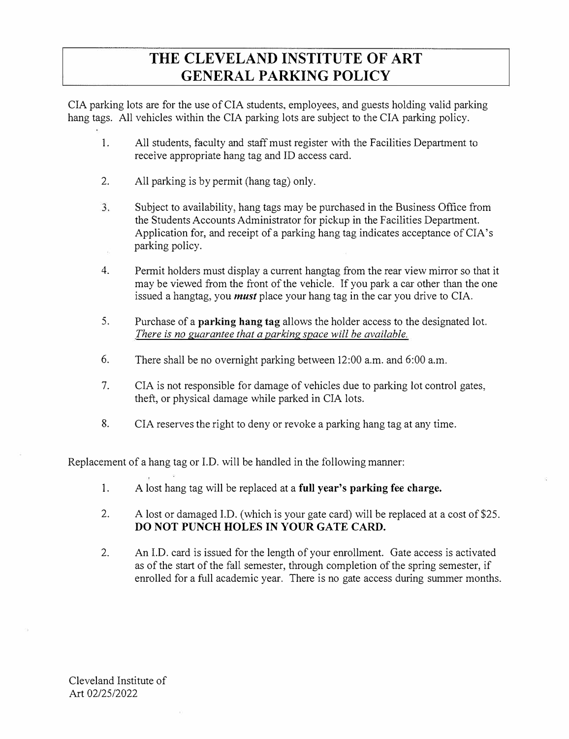## **THE CLEVELAND INSTITUTE OF ART GENERAL PARKING POLICY**

CIA parking lots are for the use of CIA students, employees, and guests holding valid parking hang tags. All vehicles within the CIA parking lots are subject to the CIA parking policy.

- 1. All students, faculty and staff must register with the Facilities Department to receive appropriate hang tag and ID access card.
- 2. All parking is by permit (hang tag) only.
- $3.$ Subject to availability, hang tags may be purchased in the Business Office from the Students Accounts Administrator for pickup in the Facilities Department. Application for, and receipt of a parking hang tag indicates acceptance of CIA's parking policy.
- 4. Permit holders must display a current hangtag from the rear view mirror so that it may be viewed from the front of the vehicle. If you park a car other than the one issued a hangtag, you *must* place your hang tag in the car you drive to CIA.
- 5. Purchase of a **parking hang tag** allows the holder access to the designated lot. *There* is *no guarantee that a parking space* will *be available.*
- 6. There shall be no overnight parking between 12:00 a.m. and 6:00 a.m.
- 7. CIA is not responsible for damage of vehicles due to parking lot control gates, theft, or physical damage while parked in CIA lots.
- 8. CIA reserves the right to deny or revoke a parking hang tag at any time.

Replacement of a hang tag or I.D. will be handled in the following manner:

- 1. A lost hang tag will be replaced at a **full year's parking fee charge.**
- 2. A lost or damaged I.D. (which is your gate card) will be replaced at a cost of \$25. **DO NOT PUNCH HOLES IN YOUR GATE CARD.**
- 2. An I.D. card is issued for the length of your enrollment. Gate access is activated as of the start of the fall semester, through completion of the spring semester, if enrolled for a full academic year. There is no gate access during summer months.